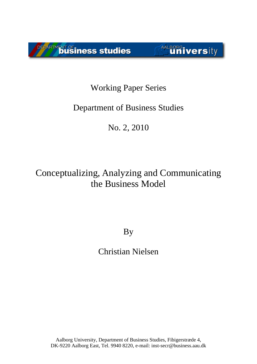**ARTMENTOS iness studies** 

**ALBORGIVersity** 

# Working Paper Series

## Department of Business Studies

No. 2, 2010

# Conceptualizing, Analyzing and Communicating the Business Model

By

Christian Nielsen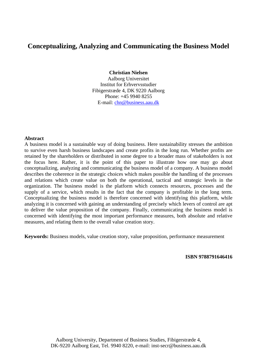## **Conceptualizing, Analyzing and Communicating the Business Model**

**Christian Nielsen**  Aalborg Universitet Institut for Erhvervsstudier Fibigerstræde 4, DK 9220 Aalborg Phone: +45 9940 8255 E-mail: [chn@business.aau.dk](mailto:chn@business.aau.dk)

### **Abstract**

A business model is a sustainable way of doing business. Here sustainability stresses the ambition to survive even harsh business landscapes and create profits in the long run. Whether profits are retained by the shareholders or distributed in some degree to a broader mass of stakeholders is not the focus here. Rather, it is the point of this paper to illustrate how one may go about conceptualizing, analyzing and communicating the business model of a company. A business model describes the coherence in the strategic choices which makes possible the handling of the processes and relations which create value on both the operational, tactical and strategic levels in the organization. The business model is the platform which connects resources, processes and the supply of a service, which results in the fact that the company is profitable in the long term. Conceptualizing the business model is therefore concerned with identifying this platform, while analyzing it is concerned with gaining an understanding of precisely which levers of control are apt to deliver the value proposition of the company. Finally, communicating the business model is concerned with identifying the most important performance measures, both absolute and relative measures, and relating them to the overall value creation story.

**Keywords:** Business models, value creation story, value proposition, performance measurement

**ISBN 9788791646416**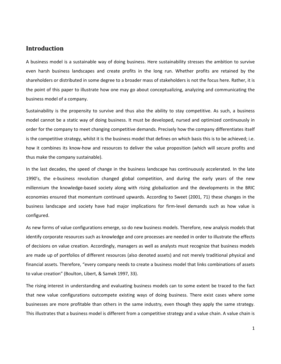## **Introduction**

A business model is a sustainable way of doing business. Here sustainability stresses the ambition to survive even harsh business landscapes and create profits in the long run. Whether profits are retained by the shareholders or distributed in some degree to a broader mass of stakeholders is not the focus here. Rather, it is the point of this paper to illustrate how one may go about conceptualizing, analyzing and communicating the business model of a company.

Sustainability is the propensity to survive and thus also the ability to stay competitive. As such, a business model cannot be a static way of doing business. It must be developed, nursed and optimized continuously in order for the company to meet changing competitive demands. Precisely how the company differentiates itself is the competitive strategy, whilst it is the business model that defines on which basis this is to be achieved; i.e. how it combines its know-how and resources to deliver the value proposition (which will secure profits and thus make the company sustainable).

In the last decades, the speed of change in the business landscape has continuously accelerated. In the late 1990's, the e-business revolution changed global competition, and during the early years of the new millennium the knowledge‐based society along with rising globalization and the developments in the BRIC economies ensured that momentum continued upwards. According to Sweet (2001, 71) these changes in the business landscape and society have had major implications for firm‐level demands such as how value is configured.

As new forms of value configurations emerge, so do new business models. Therefore, new analysis models that identify corporate resources such as knowledge and core processes are needed in order to illustrate the effects of decisions on value creation. Accordingly, managers as well as analysts must recognize that business models are made up of portfolios of different resources (also denoted assets) and not merely traditional physical and financial assets. Therefore, "every company needs to create a business model that links combinations of assets to value creation" (Boulton, Libert, & Samek 1997, 33).

The rising interest in understanding and evaluating business models can to some extent be traced to the fact that new value configurations outcompete existing ways of doing business. There exist cases where some businesses are more profitable than others in the same industry, even though they apply the same strategy. This illustrates that a business model is different from a competitive strategy and a value chain. A value chain is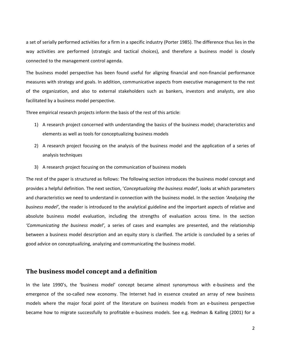a set of serially performed activities for a firm in a specific industry (Porter 1985). The difference thus lies in the way activities are performed (strategic and tactical choices), and therefore a business model is closely connected to the management control agenda.

The business model perspective has been found useful for aligning financial and non-financial performance measures with strategy and goals. In addition, communicative aspects from executive management to the rest of the organization, and also to external stakeholders such as bankers, investors and analysts, are also facilitated by a business model perspective.

Three empirical research projects inform the basis of the rest of this article:

- 1) A research project concerned with understanding the basics of the business model; characteristics and elements as well as tools for conceptualizing business models
- 2) A research project focusing on the analysis of the business model and the application of a series of analysis techniques
- 3) A research project focusing on the communication of business models

The rest of the paper is structured as follows: The following section introduces the business model concept and provides a helpful definition. The next section, '*Conceptualizing the business model'*, looks at which parameters and characteristics we need to understand in connection with the business model. In the section *'Analyzing the business model'*, the reader is introduced to the analytical guideline and the important aspects of relative and absolute business model evaluation, including the strengths of evaluation across time. In the section *'Communicating the business model'*, a series of cases and examples are presented, and the relationship between a business model description and an equity story is clarified. The article is concluded by a series of good advice on conceptualizing, analyzing and communicating the business model.

## **The business model concept and a definition**

In the late 1990's, the 'business model' concept became almost synonymous with e‐business and the emergence of the so-called new economy. The Internet had in essence created an array of new business models where the major focal point of the literature on business models from an e‐business perspective became how to migrate successfully to profitable e‐business models. See e.g. Hedman & Kalling (2001) for a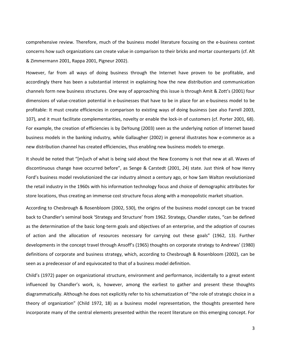comprehensive review. Therefore, much of the business model literature focusing on the e‐business context concerns how such organizations can create value in comparison to their bricks and mortar counterparts (cf. Alt & Zimmermann 2001, Rappa 2001, Pigneur 2002).

However, far from all ways of doing business through the Internet have proven to be profitable, and accordingly there has been a substantial interest in explaining how the new distribution and communication channels form new business structures. One way of approaching this issue is through Amit & Zott's (2001) four dimensions of value‐creation potential in e‐businesses that have to be in place for an e‐business model to be profitable: It must create efficiencies in comparison to existing ways of doing business (see also Farrell 2003, 107), and it must facilitate complementarities, novelty or enable the lock-in of customers (cf. Porter 2001, 68). For example, the creation of efficiencies is by DeYoung (2003) seen as the underlying notion of Internet based business models in the banking industry, while Gallaugher (2002) in general illustrates how e‐commerce as a new distribution channel has created efficiencies, thus enabling new business models to emerge.

It should be noted that "[m]uch of what is being said about the New Economy is not that new at all. Waves of discontinuous change have occurred before", as Senge & Carstedt (2001, 24) state. Just think of how Henry Ford's business model revolutionized the car industry almost a century ago, or how Sam Walton revolutionized the retail industry in the 1960s with his information technology focus and choice of demographic attributes for store locations, thus creating an immense cost structure focus along with a monopolistic market situation.

According to Chesbrough & Rosenbloom (2002, 530), the origins of the business model concept can be traced back to Chandler's seminal book 'Strategy and Structure' from 1962. Strategy, Chandler states, "can be defined as the determination of the basic long‐term goals and objectives of an enterprise, and the adoption of courses of action and the allocation of resources necessary for carrying out these goals" (1962, 13). Further developments in the concept travel through Ansoff's (1965) thoughts on corporate strategy to Andrews' (1980) definitions of corporate and business strategy, which, according to Chesbrough & Rosenbloom (2002), can be seen as a predecessor of and equivocated to that of a business model definition.

Child's (1972) paper on organizational structure, environment and performance, incidentally to a great extent influenced by Chandler's work, is, however, among the earliest to gather and present these thoughts diagrammatically. Although he does not explicitly refer to his schematization of "the role of strategic choice in a theory of organization" (Child 1972, 18) as a business model representation, the thoughts presented here incorporate many of the central elements presented within the recent literature on this emerging concept. For

3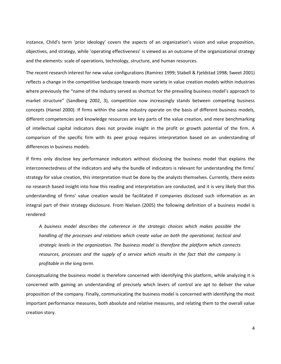instance, Child's term 'prior ideology' covers the aspects of an organization's vision and value proposition, objectives, and strategy, while 'operating effectiveness' is viewed as an outcome of the organizational strategy and the elements: scale of operations, technology, structure, and human resources.

The recent research interest for new value configurations (Ramirez 1999; Stabell & Fjeldstad 1998; Sweet 2001) reflects a change in the competitive landscape towards more variety in value creation models within industries where previously the "name of the industry served as shortcut for the prevailing business model's approach to market structure" (Sandberg 2002, 3), competition now increasingly stands between competing business concepts (Hamel 2000). If firms within the same industry operate on the basis of different business models, different competencies and knowledge resources are key parts of the value creation, and mere benchmarking of intellectual capital indicators does not provide insight in the profit or growth potential of the firm. A comparison of the specific firm with its peer group requires interpretation based on an understanding of differences in business models.

If firms only disclose key performance indicators without disclosing the business model that explains the interconnectedness of the indicators and why the bundle of indicators is relevant for understanding the firms' strategy for value creation, this interpretation must be done by the analysts themselves. Currently, there exists no research based insight into how this reading and interpretation are conducted, and it is very likely that this understanding of firms' value creation would be facilitated if companies disclosed such information as an integral part of their strategy disclosure. From Nielsen (2005) the following definition of a business model is rendered:

*A business model describes the coherence in the strategic choices which makes possible the handling of the processes and relations which create value on both the operational, tactical and strategic levels in the organization. The business model is therefore the platform which connects resources, processes and the supply of a service which results in the fact that the company is profitable in the long term.* 

Conceptualizing the business model is therefore concerned with identifying this platform, while analyzing it is concerned with gaining an understanding of precisely which levers of control are apt to deliver the value proposition of the company. Finally, communicating the business model is concerned with identifying the most important performance measures, both absolute and relative measures, and relating them to the overall value creation story.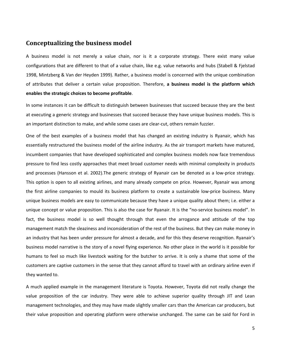## **Conceptualizing the business model**

A business model is not merely a value chain, nor is it a corporate strategy. There exist many value configurations that are different to that of a value chain, like e.g. value networks and hubs (Stabell & Fjelstad 1998, Mintzberg & Van der Heyden 1999). Rather, a business model is concerned with the unique combination of attributes that deliver a certain value proposition. Therefore, **a business model is the platform which enables the strategic choices to become profitable**.

In some instances it can be difficult to distinguish between businesses that succeed because they are the best at executing a generic strategy and businesses that succeed because they have unique business models. This is an important distinction to make, and while some cases are clear-cut, others remain fuzzier.

One of the best examples of a business model that has changed an existing industry is Ryanair, which has essentially restructured the business model of the airline industry. As the air transport markets have matured, incumbent companies that have developed sophisticated and complex business models now face tremendous pressure to find less costly approaches that meet broad customer needs with minimal complexity in products and processes (Hansson et al. 2002).The generic strategy of Ryanair can be denoted as a low‐price strategy. This option is open to all existing airlines, and many already compete on price. However, Ryanair was among the first airline companies to mould its business platform to create a sustainable low‐price business. Many unique business models are easy to communicate because they have a unique quality about them; i.e. either a unique concept or value proposition. This is also the case for Ryanair. It is the "no-service business model". In fact, the business model is so well thought through that even the arrogance and attitude of the top management match the sleaziness and inconsideration of the rest of the business. But they can make money in an industry that has been under pressure for almost a decade, and for this they deserve recognition. Ryanair's business model narrative is the story of a novel flying experience. No other place in the world is it possible for humans to feel so much like livestock waiting for the butcher to arrive. It is only a shame that some of the customers are captive customers in the sense that they cannot afford to travel with an ordinary airline even if they wanted to.

A much applied example in the management literature is Toyota. However, Toyota did not really change the value proposition of the car industry. They were able to achieve superior quality through JIT and Lean management technologies, and they may have made slightly smaller cars than the American car producers, but their value proposition and operating platform were otherwise unchanged. The same can be said for Ford in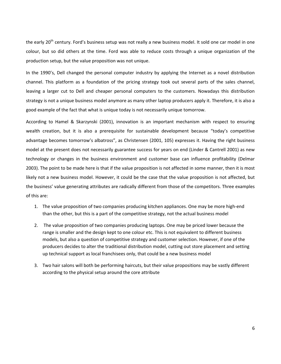the early 20<sup>th</sup> century. Ford's business setup was not really a new business model. It sold one car model in one colour, but so did others at the time. Ford was able to reduce costs through a unique organization of the production setup, but the value proposition was not unique.

In the 1990's, Dell changed the personal computer industry by applying the Internet as a novel distribution channel. This platform as a foundation of the pricing strategy took out several parts of the sales channel, leaving a larger cut to Dell and cheaper personal computers to the customers. Nowadays this distribution strategy is not a unique business model anymore as many other laptop producers apply it. Therefore, it is also a good example of the fact that what is unique today is not necessarily unique tomorrow.

According to Hamel & Skarzynski (2001), innovation is an important mechanism with respect to ensuring wealth creation, but it is also a prerequisite for sustainable development because "today's competitive advantage becomes tomorrow's albatross", as Christensen (2001, 105) expresses it. Having the right business model at the present does not necessarily guarantee success for years on end (Linder & Cantrell 2001) as new technology or changes in the business environment and customer base can influence profitability (Delmar 2003). The point to be made here is that if the value proposition is not affected in some manner, then it is most likely not a new business model. However, it could be the case that the value proposition is not affected, but the business' value generating attributes are radically different from those of the competitors. Three examples of this are:

- 1. The value proposition of two companies producing kitchen appliances. One may be more high-end than the other, but this is a part of the competitive strategy, not the actual business model
- 2. The value proposition of two companies producing laptops. One may be priced lower because the range is smaller and the design kept to one colour etc. This is not equivalent to different business models, but also a question of competitive strategy and customer selection. However, if one of the producers decides to alter the traditional distribution model, cutting out store placement and setting up technical support as local franchisees only, that could be a new business model
- 3. Two hair salons will both be performing haircuts, but their value propositions may be vastly different according to the physical setup around the core attribute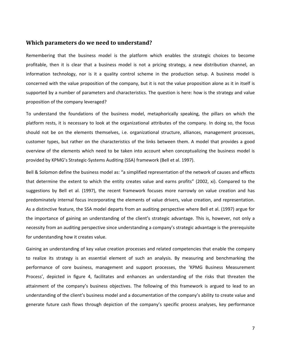### **Which parameters do we need to understand?**

Remembering that the business model is the platform which enables the strategic choices to become profitable, then it is clear that a business model is not a pricing strategy, a new distribution channel, an information technology, nor is it a quality control scheme in the production setup. A business model is concerned with the value proposition of the company, but it is not the value proposition alone as it in itself is supported by a number of parameters and characteristics. The question is here: how is the strategy and value proposition of the company leveraged?

To understand the foundations of the business model, metaphorically speaking, the pillars on which the platform rests, it is necessary to look at the organizational attributes of the company. In doing so, the focus should not be on the elements themselves, i.e. organizational structure, alliances, management processes, customer types, but rather on the characteristics of the links between them. A model that provides a good overview of the elements which need to be taken into account when conceptualizing the business model is provided by KPMG's Strategic‐Systems Auditing (SSA) framework (Bell et al. 1997).

Bell & Solomon define the business model as: "a simplified representation of the network of causes and effects that determine the extent to which the entity creates value and earns profits" (2002, xi). Compared to the suggestions by Bell et al. (1997), the recent framework focuses more narrowly on value creation and has predominately internal focus incorporating the elements of value drivers, value creation, and representation. As a distinctive feature, the SSA model departs from an auditing perspective where Bell et al. (1997) argue for the importance of gaining an understanding of the client's strategic advantage. This is, however, not only a necessity from an auditing perspective since understanding a company's strategic advantage is the prerequisite for understanding how it creates value.

Gaining an understanding of key value creation processes and related competencies that enable the company to realize its strategy is an essential element of such an analysis. By measuring and benchmarking the performance of core business, management and support processes, the 'KPMG Business Measurement Process', depicted in figure 4, facilitates and enhances an understanding of the risks that threaten the attainment of the company's business objectives. The following of this framework is argued to lead to an understanding of the client's business model and a documentation of the company's ability to create value and generate future cash flows through depiction of the company's specific process analyses, key performance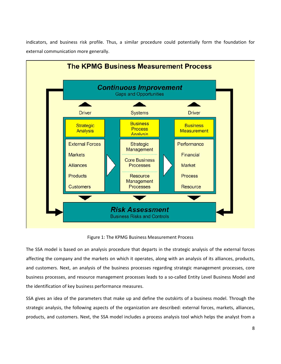

indicators, and business risk profile. Thus, a similar procedure could potentially form the foundation for external communication more generally.

Figure 1: The KPMG Business Measurement Process

The SSA model is based on an analysis procedure that departs in the strategic analysis of the external forces affecting the company and the markets on which it operates, along with an analysis of its alliances, products, and customers. Next, an analysis of the business processes regarding strategic management processes, core business processes, and resource management processes leads to a so-called Entity Level Business Model and the identification of key business performance measures.

SSA gives an idea of the parameters that make up and define the outskirts of a business model. Through the strategic analysis, the following aspects of the organization are described: external forces, markets, alliances, products, and customers. Next, the SSA model includes a process analysis tool which helps the analyst from a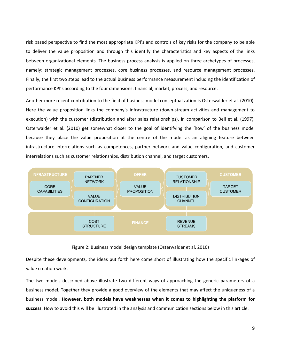risk based perspective to find the most appropriate KPI's and controls of key risks for the company to be able to deliver the value proposition and through this identify the characteristics and key aspects of the links between organizational elements. The business process analysis is applied on three archetypes of processes, namely: strategic management processes, core business processes, and resource management processes. Finally, the first two steps lead to the actual business performance measurement including the identification of performance KPI's according to the four dimensions: financial, market, process, and resource.

Another more recent contribution to the field of business model conceptualization is Osterwalder et al. (2010). Here the value proposition links the company's infrastructure (down-stream activities and management to execution) with the customer (distribution and after sales relationships). In comparison to Bell et al. (1997), Osterwalder et al. (2010) get somewhat closer to the goal of identifying the 'how' of the business model because they place the value proposition at the centre of the model as an aligning feature between infrastructure interrelations such as competences, partner network and value configuration, and customer interrelations such as customer relationships, distribution channel, and target customers.



Figure 2: Business model design template (Osterwalder et al. 2010)

Despite these developments, the ideas put forth here come short of illustrating how the specific linkages of value creation work.

The two models described above illustrate two different ways of approaching the generic parameters of a business model. Together they provide a good overview of the elements that may affect the uniqueness of a business model. **However, both models have weaknesses when it comes to highlighting the platform for success**. How to avoid this will be illustrated in the analysis and communication sections below in this article.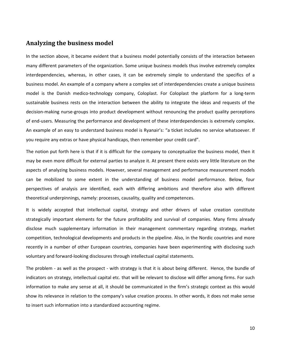## **Analyzing the business model**

In the section above, it became evident that a business model potentially consists of the interaction between many different parameters of the organization. Some unique business models thus involve extremely complex interdependencies, whereas, in other cases, it can be extremely simple to understand the specifics of a business model. An example of a company where a complex set of interdependencies create a unique business model is the Danish medico-technology company, Coloplast. For Coloplast the platform for a long-term sustainable business rests on the interaction between the ability to integrate the ideas and requests of the decision-making nurse-groups into product development without renouncing the product quality perceptions of end‐users. Measuring the performance and development of these interdependencies is extremely complex. An example of an easy to understand business model is Ryanair's: "a ticket includes no service whatsoever. If you require any extras or have physical handicaps, then remember your credit card".

The notion put forth here is that if it is difficult for the company to conceptualize the business model, then it may be even more difficult for external parties to analyze it. At present there exists very little literature on the aspects of analyzing business models. However, several management and performance measurement models can be mobilized to some extent in the understanding of business model performance. Below, four perspectives of analysis are identified, each with differing ambitions and therefore also with different theoretical underpinnings, namely: processes, causality, quality and competences.

It is widely accepted that intellectual capital, strategy and other drivers of value creation constitute strategically important elements for the future profitability and survival of companies. Many firms already disclose much supplementary information in their management commentary regarding strategy, market competition, technological developments and products in the pipeline. Also, in the Nordic countries and more recently in a number of other European countries, companies have been experimenting with disclosing such voluntary and forward‐looking disclosures through intellectual capital statements.

The problem - as well as the prospect - with strategy is that it is about being different. Hence, the bundle of indicators on strategy, intellectual capital etc. that will be relevant to disclose will differ among firms. For such information to make any sense at all, it should be communicated in the firm's strategic context as this would show its relevance in relation to the company's value creation process. In other words, it does not make sense to insert such information into a standardized accounting regime.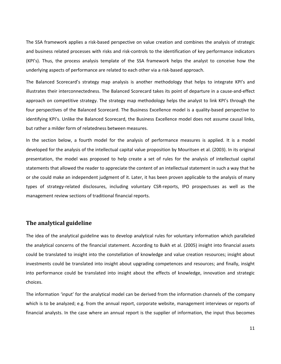The SSA framework applies a risk‐based perspective on value creation and combines the analysis of strategic and business related processes with risks and risk‐controls to the identification of key performance indicators (KPI's). Thus, the process analysis template of the SSA framework helps the analyst to conceive how the underlying aspects of performance are related to each other via a risk‐based approach.

The Balanced Scorecard's strategy map analysis is another methodology that helps to integrate KPI's and illustrates their interconnectedness. The Balanced Scorecard takes its point of departure in a cause-and-effect approach on competitive strategy. The strategy map methodology helps the analyst to link KPI's through the four perspectives of the Balanced Scorecard. The Business Excellence model is a quality‐based perspective to identifying KPI's. Unlike the Balanced Scorecard, the Business Excellence model does not assume causal links, but rather a milder form of relatedness between measures.

In the section below, a fourth model for the analysis of performance measures is applied. It is a model developed for the analysis of the intellectual capital value proposition by Mouritsen et al. (2003). In its original presentation, the model was proposed to help create a set of rules for the analysis of intellectual capital statements that allowed the reader to appreciate the content of an intellectual statement in such a way that he or she could make an independent judgment of it. Later, it has been proven applicable to the analysis of many types of strategy-related disclosures, including voluntary CSR-reports, IPO prospectuses as well as the management review sections of traditional financial reports.

### **The analytical guideline**

The idea of the analytical guideline was to develop analytical rules for voluntary information which paralleled the analytical concerns of the financial statement. According to Bukh et al. (2005) insight into financial assets could be translated to insight into the constellation of knowledge and value creation resources; insight about investments could be translated into insight about upgrading competences and resources; and finally, insight into performance could be translated into insight about the effects of knowledge, innovation and strategic choices.

The information 'input' for the analytical model can be derived from the information channels of the company which is to be analyzed; e.g. from the annual report, corporate website, management interviews or reports of financial analysts. In the case where an annual report is the supplier of information, the input thus becomes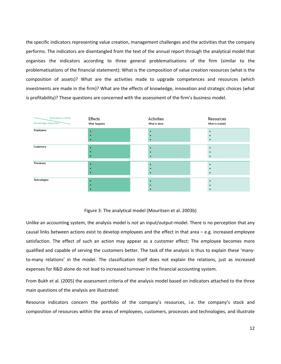the specific indicators representing value creation, management challenges and the activities that the company performs. The indicators are disentangled from the text of the annual report through the analytical model that organises the indicators according to three general problematisations of the firm (similar to the problematisations of the financial statement): What is the composition of value creation resources (what is the composition of assets)? What are the activities made to upgrade competences and resources (which investments are made in the firm)? What are the effects of knowledge, innovation and strategic choices (what is profitability)? These questions are concerned with the assessment of the firm's business model.



Figure 3: The analytical model (Mouritsen et al. 2003b)

Unlike an accounting system, the analysis model is *not* an input/output‐model. There is no perception that any causal links between actions exist to develop employees and the effect in that area – e.g. increased employee satisfaction. The effect of such an action may appear as a customer effect: The employee becomes more qualified and capable of serving the customers better. The task of the analysis is thus to explain these 'many‐ to-many relations' in the model. The classification itself does not explain the relations, just as increased expenses for R&D alone do not lead to increased turnover in the financial accounting system.

From Bukh et al. (2005) the assessment criteria of the analysis model based on indicators attached to the three main questions of the analysis are illustrated:

Resource indicators concern the portfolio of the company's resources, i.e. the company's stock and composition of resources within the areas of employees, customers, processes and technologies, and illustrate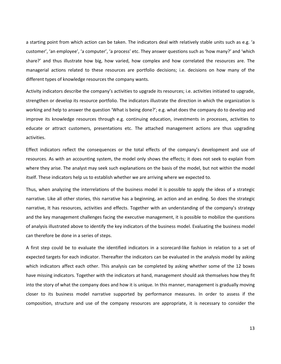a starting point from which action can be taken. The indicators deal with relatively stable units such as e.g. 'a customer', 'an employee', 'a computer', 'a process' etc. They answer questions such as 'how many?' and 'which share?' and thus illustrate how big, how varied, how complex and how correlated the resources are. The managerial actions related to these resources are portfolio decisions; i.e. decisions on how many of the different types of knowledge resources the company wants.

Activity indicators describe the company's activities to upgrade its resources; i.e. activities initiated to upgrade, strengthen or develop its resource portfolio. The indicators illustrate the direction in which the organization is working and help to answer the question 'What is being done?'; e.g. what does the company do to develop and improve its knowledge resources through e.g. continuing education, investments in processes, activities to educate or attract customers, presentations etc. The attached management actions are thus upgrading activities.

Effect indicators reflect the consequences or the total effects of the company's development and use of resources. As with an accounting system, the model only shows the effects; it does not seek to explain from where they arise. The analyst may seek such explanations on the basis of the model, but not within the model itself. These indicators help us to establish whether we are arriving where we expected to.

Thus, when analyzing the interrelations of the business model it is possible to apply the ideas of a strategic narrative. Like all other stories, this narrative has a beginning, an action and an ending. So does the strategic narrative, It has resources, activities and effects. Together with an understanding of the company's strategy and the key management challenges facing the executive management, it is possible to mobilize the questions of analysis illustrated above to identify the key indicators of the business model. Evaluating the business model can therefore be done in a series of steps.

A first step could be to evaluate the identified indicators in a scorecard‐like fashion in relation to a set of expected targets for each indicator. Thereafter the indicators can be evaluated in the analysis model by asking which indicators affect each other. This analysis can be completed by asking whether some of the 12 boxes have missing indicators. Together with the indicators at hand, management should ask themselves how they fit into the story of what the company does and how it is unique. In this manner, management is gradually moving closer to its business model narrative supported by performance measures. In order to assess if the composition, structure and use of the company resources are appropriate, it is necessary to consider the

13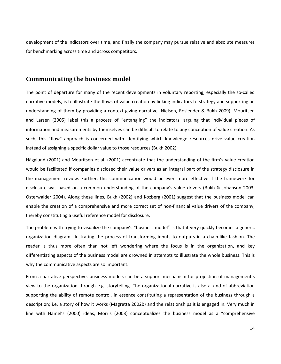development of the indicators over time, and finally the company may pursue relative and absolute measures for benchmarking across time and across competitors.

## **Communicating the business model**

The point of departure for many of the recent developments in voluntary reporting, especially the so-called narrative models, is to illustrate the flows of value creation by linking indicators to strategy and supporting an understanding of them by providing a context giving narrative (Nielsen, Roslender & Bukh 2009). Mouritsen and Larsen (2005) label this a process of "entangling" the indicators, arguing that individual pieces of information and measurements by themselves can be difficult to relate to any conception of value creation. As such, this "flow" approach is concerned with identifying which knowledge resources drive value creation instead of assigning a specific dollar value to those resources (Bukh 2002).

Hägglund (2001) and Mouritsen et al. (2001) accentuate that the understanding of the firm's value creation would be facilitated if companies disclosed their value drivers as an integral part of the strategy disclosure in the management review. Further, this communication would be even more effective if the framework for disclosure was based on a common understanding of the company's value drivers (Bukh & Johanson 2003, Osterwalder 2004). Along these lines, Bukh (2002) and Kozberg (2001) suggest that the business model can enable the creation of a comprehensive and more correct set of non-financial value drivers of the company, thereby constituting a useful reference model for disclosure.

The problem with trying to visualize the company's "business model" is that it very quickly becomes a generic organization diagram illustrating the process of transforming inputs to outputs in a chain‐like fashion. The reader is thus more often than not left wondering where the focus is in the organization, and key differentiating aspects of the business model are drowned in attempts to illustrate the whole business. This is why the communicative aspects are so important.

From a narrative perspective, business models can be a support mechanism for projection of management's view to the organization through e.g. storytelling. The organizational narrative is also a kind of abbreviation supporting the ability of remote control, in essence constituting a representation of the business through a description; i.e. a story of how it works (Magretta 2002b) and the relationships it is engaged in. Very much in line with Hamel's (2000) ideas, Morris (2003) conceptualizes the business model as a "comprehensive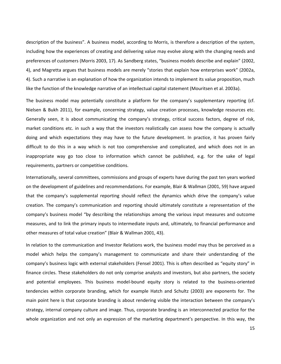description of the business". A business model, according to Morris, is therefore a description of the system, including how the experiences of creating and delivering value may evolve along with the changing needs and preferences of customers (Morris 2003, 17). As Sandberg states, "business models describe and explain" (2002, 4), and Magretta argues that business models are merely "stories that explain how enterprises work" (2002a, 4). Such a narrative is an explanation of how the organization intends to implement its value proposition, much like the function of the knowledge narrative of an intellectual capital statement (Mouritsen et al. 2003a).

The business model may potentially constitute a platform for the company's supplementary reporting (cf. Nielsen & Bukh 2011), for example, concerning strategy, value creation processes, knowledge resources etc. Generally seen, it is about communicating the company's strategy, critical success factors, degree of risk, market conditions etc. in such a way that the investors realistically can assess how the company is actually doing and which expectations they may have to the future development. In practice, it has proven fairly difficult to do this in a way which is not too comprehensive and complicated, and which does not in an inappropriate way go too close to information which cannot be published, e.g. for the sake of legal requirements, partners or competitive conditions.

Internationally, several committees, commissions and groups of experts have during the past ten years worked on the development of guidelines and recommendations. For example, Blair & Wallman (2001, 59) have argued that the company's supplemental reporting should reflect the dynamics which drive the company's value creation. The company's communication and reporting should ultimately constitute a representation of the company's business model "by describing the relationships among the various input measures and outcome measures, and to link the primary inputs to intermediate inputs and, ultimately, to financial performance and other measures of total value creation" (Blair & Wallman 2001, 43).

In relation to the communication and Investor Relations work, the business model may thus be perceived as a model which helps the company's management to communicate and share their understanding of the company's business logic with external stakeholders (Fensel 2001). This is often described as "equity story" in finance circles. These stakeholders do not only comprise analysts and investors, but also partners, the society and potential employees. This business model-bound equity story is related to the business-oriented tendencies within corporate branding, which for example Hatch and Schultz (2003) are exponents for. The main point here is that corporate branding is about rendering visible the interaction between the company's strategy, internal company culture and image. Thus, corporate branding is an interconnected practice for the whole organization and not only an expression of the marketing department's perspective. In this way, the

15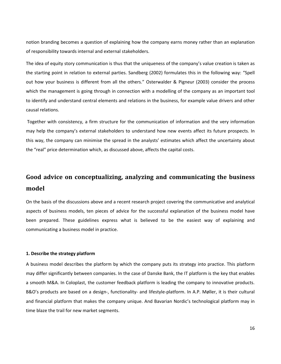notion branding becomes a question of explaining how the company earns money rather than an explanation of responsibility towards internal and external stakeholders.

The idea of equity story communication is thus that the uniqueness of the company's value creation is taken as the starting point in relation to external parties. Sandberg (2002) formulates this in the following way: "Spell out how your business is different from all the others." Osterwalder & Pigneur (2003) consider the process which the management is going through in connection with a modelling of the company as an important tool to identify and understand central elements and relations in the business, for example value drivers and other causal relations.

Together with consistency, a firm structure for the communication of information and the very information may help the company's external stakeholders to understand how new events affect its future prospects. In this way, the company can minimise the spread in the analysts' estimates which affect the uncertainty about the "real" price determination which, as discussed above, affects the capital costs.

## **Good advice on conceptualizing, analyzing and communicating the business model**

On the basis of the discussions above and a recent research project covering the communicative and analytical aspects of business models, ten pieces of advice for the successful explanation of the business model have been prepared. These guidelines express what is believed to be the easiest way of explaining and communicating a business model in practice.

#### **1. Describe the strategy platform**

A business model describes the platform by which the company puts its strategy into practice. This platform may differ significantly between companies. In the case of Danske Bank, the IT platform is the key that enables a smooth M&A. In Coloplast, the customer feedback platform is leading the company to innovative products. B&O's products are based on a design‐, functionality‐ and lifestyle‐platform. In A.P. Møller, it is their cultural and financial platform that makes the company unique. And Bavarian Nordic's technological platform may in time blaze the trail for new market segments.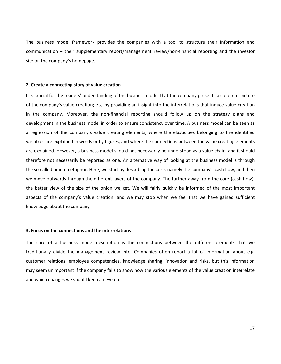The business model framework provides the companies with a tool to structure their information and communication – their supplementary report/management review/non-financial reporting and the investor site on the company's homepage.

#### **2. Create a connecting story of value creation**

It is crucial for the readers' understanding of the business model that the company presents a coherent picture of the company's value creation; e.g. by providing an insight into the interrelations that induce value creation in the company. Moreover, the non-financial reporting should follow up on the strategy plans and development in the business model in order to ensure consistency over time. A business model can be seen as a regression of the company's value creating elements, where the elasticities belonging to the identified variables are explained in words or by figures, and where the connections between the value creating elements are explained. However, a business model should not necessarily be understood as a value chain, and it should therefore not necessarily be reported as one. An alternative way of looking at the business model is through the so-called onion metaphor. Here, we start by describing the core, namely the company's cash flow, and then we move outwards through the different layers of the company. The further away from the core (cash flow), the better view of the size of the onion we get. We will fairly quickly be informed of the most important aspects of the company's value creation, and we may stop when we feel that we have gained sufficient knowledge about the company

#### **3. Focus on the connections and the interrelations**

The core of a business model description is the connections between the different elements that we traditionally divide the management review into. Companies often report a lot of information about e.g. customer relations, employee competencies, knowledge sharing, innovation and risks, but this information may seem unimportant if the company fails to show how the various elements of the value creation interrelate and which changes we should keep an eye on.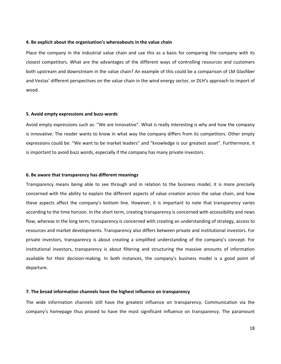#### **4. Be explicit about the organisation's whereabouts in the value chain**

Place the company in the industrial value chain and use this as a basis for comparing the company with its closest competitors. What are the advantages of the different ways of controlling resources and customers both upstream and downstream in the value chain? An example of this could be a comparison of LM Glasfiber and Vestas' different perspectives on the value chain in the wind energy sector, or DLH's approach to import of wood.

#### **5. Avoid empty expressions and buzz‐words**

Avoid empty expressions such as: "We are innovative". What is really interesting is why and how the company is innovative. The reader wants to know in what way the company differs from its competitors. Other empty expressions could be: "We want to be market leaders" and "knowledge is our greatest asset". Furthermore, it is important to avoid buzz words, especially if the company has many private investors.

#### **6. Be aware that transparency has different meanings**

Transparency means being able to see through and in relation to the business model, it is more precisely concerned with the ability to explain the different aspects of value creation across the value chain, and how these aspects affect the company's bottom line. However, it is important to note that transparency varies according to the time horizon. In the short term, creating transparency is concerned with accessibility and news flow, whereas in the long term, transparency is concerned with creating an understanding of strategy, access to resources and market developments. Transparency also differs between private and institutional investors. For private investors, transparency is about creating a simplified understanding of the company's concept. For institutional investors, transparency is about filtering and structuring the massive amounts of information available for their decision‐making. In both instances, the company's business model is a good point of departure.

#### **7. The broad information channels have the highest influence on transparency**

The wide information channels still have the greatest influence on transparency. Communication via the company's homepage thus proved to have the most significant influence on transparency. The paramount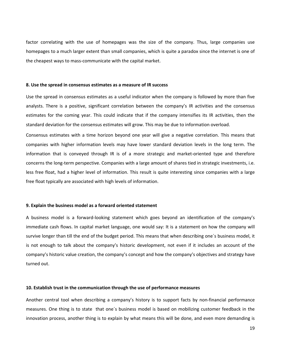factor correlating with the use of homepages was the size of the company. Thus, large companies use homepages to a much larger extent than small companies, which is quite a paradox since the internet is one of the cheapest ways to mass‐communicate with the capital market.

#### **8. Use the spread in consensus estimates as a measure of IR success**

Use the spread in consensus estimates as a useful indicator when the company is followed by more than five analysts. There is a positive, significant correlation between the company's IR activities and the consensus estimates for the coming year. This could indicate that if the company intensifies its IR activities, then the standard deviation for the consensus estimates will grow. This may be due to information overload.

Consensus estimates with a time horizon beyond one year will give a negative correlation. This means that companies with higher information levels may have lower standard deviation levels in the long term. The information that is conveyed through IR is of a more strategic and market‐oriented type and therefore concerns the long‐term perspective. Companies with a large amount of shares tied in strategic investments, i.e. less free float, had a higher level of information. This result is quite interesting since companies with a large free float typically are associated with high levels of information.

#### **9. Explain the business model as a forward oriented statement**

A business model is a forward‐looking statement which goes beyond an identification of the company's immediate cash flows. In capital market language, one would say: It is a statement on how the company will survive longer than till the end of the budget period. This means that when describing one´s business model, it is not enough to talk about the company's historic development, not even if it includes an account of the company's historic value creation, the company's concept and how the company's objectives and strategy have turned out.

#### **10. Establish trust in the communication through the use of performance measures**

Another central tool when describing a company's history is to support facts by non‐financial performance measures. One thing is to state that one´s business model is based on mobilizing customer feedback in the innovation process, another thing is to explain by what means this will be done, and even more demanding is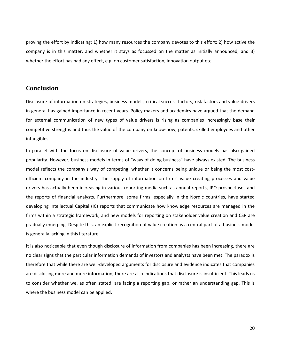proving the effort by indicating: 1) how many resources the company devotes to this effort; 2) how active the company is in this matter, and whether it stays as focussed on the matter as initially announced; and 3) whether the effort has had any effect, e.g. on customer satisfaction, innovation output etc.

## **Conclusion**

Disclosure of information on strategies, business models, critical success factors, risk factors and value drivers in general has gained importance in recent years. Policy makers and academics have argued that the demand for external communication of new types of value drivers is rising as companies increasingly base their competitive strengths and thus the value of the company on know‐how, patents, skilled employees and other intangibles.

In parallel with the focus on disclosure of value drivers, the concept of business models has also gained popularity. However, business models in terms of "ways of doing business" have always existed. The business model reflects the company's way of competing, whether it concerns being unique or being the most costefficient company in the industry. The supply of information on firms' value creating processes and value drivers has actually been increasing in various reporting media such as annual reports, IPO prospectuses and the reports of financial analysts. Furthermore, some firms, especially in the Nordic countries, have started developing Intellectual Capital (IC) reports that communicate how knowledge resources are managed in the firms within a strategic framework, and new models for reporting on stakeholder value creation and CSR are gradually emerging. Despite this, an explicit recognition of value creation as a central part of a business model is generally lacking in this literature.

It is also noticeable that even though disclosure of information from companies has been increasing, there are no clear signs that the particular information demands of investors and analysts have been met. The paradox is therefore that while there are well‐developed arguments for disclosure and evidence indicates that companies are disclosing more and more information, there are also indications that disclosure is insufficient. This leads us to consider whether we, as often stated, are facing a reporting gap, or rather an understanding gap. This is where the business model can be applied.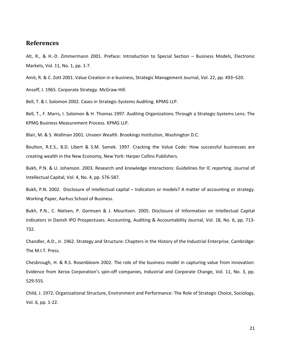## **References**

Alt, R., & H.‐D. Zimmermann 2001. Preface: Introduction to Special Section – Business Models, Electronic Markets, Vol. 11, No. 1, pp. 1‐7.

Amit, R. & C. Zott 2001. Value Creation in e‐business, Strategic Management Journal, Vol. 22, pp. 493–520.

Ansoff, I. 1965. Corporate Strategy. McGraw‐Hill.

Bell, T. & I. Solomon 2002. Cases in Strategic‐Systems Auditing. KPMG LLP.

Bell, T., F. Marrs, I. Solomon & H. Thomas 1997. Auditing Organizations Through a Strategic‐Systems Lens: The KPMG Business Measurement Process. KPMG LLP.

Blair, M. & S. Wallman 2001. Unseen Wealth. Brookings Institution, Washington D.C.

Boulton, R.E.S., B.D. Libert & S.M. Samek. 1997. Cracking the Value Code: How successful businesses are creating wealth in the New Economy, New York: Harper Collins Publishers.

Bukh, P.N. & U. Johanson. 2003. Research and knowledge interactions: Guidelines for IC reporting. Journal of Intellectual Capital, Vol. 4, No. 4, pp. 576‐587.

Bukh, P.N. 2002. Disclosure of intellectual capital – Indicators or models? A matter of accounting or strategy. Working Paper, Aarhus School of Business.

Bukh, P.N., C. Nielsen, P. Gormsen & J. Mouritsen. 2005. Disclosure of Information on Intellectual Capital indicators in Danish IPO Prospectuses. Accounting, Auditing & Accountability Journal, Vol. 18, No. 6, pp. 713‐ 732.

Chandler, A.D., Jr. 1962. Strategy and Structure: Chapters in the History of the Industrial Enterprise. Cambridge: The M.I.T. Press.

Chesbrough, H. & R.S. Rosenbloom 2002. The role of the business model in capturing value from innovation: Evidence from Xerox Corporation's spin‐off companies, Industrial and Corporate Change, Vol. 11, No. 3, pp. 529‐555.

Child, J. 1972. Organizational Structure, Environment and Performance: The Role of Strategic Choice, Sociology, Vol. 6, pp. 1‐22.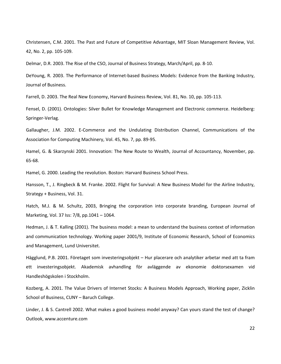Christensen, C.M. 2001. The Past and Future of Competitive Advantage, MIT Sloan Management Review, Vol. 42, No. 2, pp. 105‐109.

Delmar, D.R. 2003. The Rise of the CSO, Journal of Business Strategy, March/April, pp. 8‐10.

DeYoung, R. 2003. The Performance of Internet-based Business Models: Evidence from the Banking Industry, Journal of Business.

Farrell, D. 2003. The Real New Economy, Harvard Business Review, Vol. 81, No. 10, pp. 105‐113.

Fensel, D. (2001). Ontologies: Silver Bullet for Knowledge Management and Electronic commerce. Heidelberg: Springer‐Verlag.

Gallaugher, J.M. 2002. E‐Commerce and the Undulating Distribution Channel, Communications of the Association for Computing Machinery, Vol. 45, No. 7, pp. 89‐95.

Hamel, G. & Skarzynski 2001. Innovation: The New Route to Wealth, Journal of Accountancy, November, pp. 65‐68.

Hamel, G. 2000. Leading the revolution. Boston: Harvard Business School Press.

Hansson, T., J. Ringbeck & M. Franke. 2002. Flight for Survival: A New Business Model for the Airline Industry, Strategy + Business, Vol. 31.

Hatch, M.J. & M. Schultz, 2003, Bringing the corporation into corporate branding, European Journal of Marketing, Vol. 37 Iss: 7/8, pp.1041 – 1064.

Hedman, J. & T. Kalling (2001). The business model: a mean to understand the business context of information and communication technology. Working paper 2001/9, Institute of Economic Research, School of Economics and Management, Lund Universitet.

Hägglund, P.B. 2001. Företaget som investeringsobjekt – Hur placerare och analytiker arbetar med att ta fram ett investeringsobjekt. Akademisk avhandling för avläggende av ekonomie doktorsexamen vid Handleshögskolen i Stockholm.

Kozberg, A. 2001. The Value Drivers of Internet Stocks: A Business Models Approach, Working paper, Zicklin School of Business, CUNY – Baruch College.

Linder, J. & S. Cantrell 2002. What makes a good business model anyway? Can yours stand the test of change? Outlook, www.accenture.com

22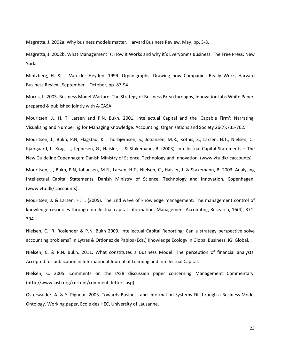Magretta, J. 2002a. Why business models matter. Harvard Business Review, May, pp. 3‐8.

Magretta, J. 2002b. What Management Is: How it Works and why it's Everyone's Business. The Free Press: New York.

Mintzberg, H. & L. Van der Heyden. 1999. Organigraphs: Drawing how Companies Really Work, Harvard Business Review, September – October, pp. 87‐94.

Morris, L. 2003. Business Model Warfare: The Strategy of Business Breakthroughs, InnovationLabs White Paper, prepared & published jointly with A‐CASA.

Mouritsen, J., H. T. Larsen and P.N. Bukh. 2001. Intellectual Capital and the 'Capable Firm': Narrating, Visualising and Numbering for Managing Knowledge. Accounting, Organisations and Society 26(7):735‐762.

Mouritsen, J., Bukh, P.N, Flagstad, K., Thorbjørnsen, S., Johansen, M.R., Kotnis, S., Larsen, H.T., Nielsen, C., Kjærgaard, I., Krag, L., Jeppesen, G., Haisler, J. & Stakemann, B. (2003). Intellectual Capital Statements – The New Guideline Copenhagen: Danish Ministry of Science, Technology and Innovation. (www.vtu.dk/icaccounts)

Mouritsen, J., Bukh, P.N, Johansen, M.R., Larsen, H.T., Nielsen, C., Haisler, J. & Stakemann, B. 2003. Analysing Intellectual Capital Statements. Danish Ministry of Science, Technology and Innovation, Copenhagen. (www.vtu.dk/icaccounts).

Mouritsen, J. & Larsen, H.T.. (2005). The 2nd wave of knowledge management: The management control of knowledge resources through intellectual capital information, Management Accounting Research, 16(4), 371‐ 394.

Nielsen, C., R. Roslender & P.N. Bukh 2009. Intellectual Capital Reporting: Can a strategy perspective solve accounting problems? In Lytras & Ordonez de Pablos (Eds.) Knowledge Ecology in Global Business, IGI Global.

Nielsen, C. & P.N. Bukh. 2011. What constitutes a Business Model: The perception of financial analysts. Accepted for publication in International Journal of Learning and Intellectual Capital.

Nielsen, C. 2005. Comments on the IASB discussion paper concerning Management Commentary. (http://www.iasb.org/current/comment\_letters.asp)

Osterwalder, A. & Y. Pigneur. 2003. Towards Business and Information Systems Fit through a Business Model Ontology. Working paper, Ecole des HEC, University of Lausanne.

23